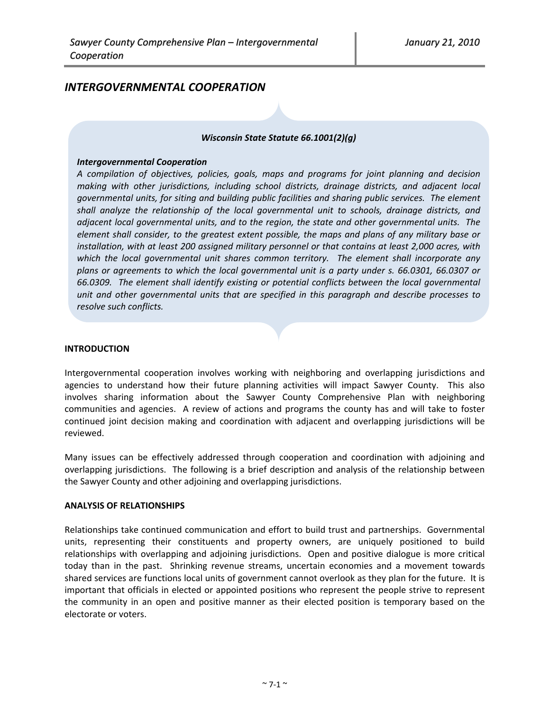# *INTERGOVERNMENTAL COOPERATION*

#### *Wisconsin State Statute 66.1001(2)(g)*

#### *Intergovernmental Cooperation*

*A compilation of objectives, policies, goals, maps and programs for joint planning and decision making with other jurisdictions, including school districts, drainage districts, and adjacent local governmental units, for siting and building public facilities and sharing public services. The element shall analyze the relationship of the local governmental unit to schools, drainage districts, and adjacent local governmental units, and to the region, the state and other governmental units. The element shall consider, to the greatest extent possible, the maps and plans of any military base or installation, with at least 200 assigned military personnel or that contains at least 2,000 acres, with which the local governmental unit shares common territory. The element shall incorporate any plans or agreements to which the local governmental unit is a party under s. 66.0301, 66.0307 or 66.0309. The element shall identify existing or potential conflicts between the local governmental unit and other governmental units that are specified in this paragraph and describe processes to resolve such conflicts.*

#### **INTRODUCTION**

Intergovernmental cooperation involves working with neighboring and overlapping jurisdictions and agencies to understand how their future planning activities will impact Sawyer County. This also involves sharing information about the Sawyer County Comprehensive Plan with neighboring communities and agencies. A review of actions and programs the county has and will take to foster continued joint decision making and coordination with adjacent and overlapping jurisdictions will be reviewed.

Many issues can be effectively addressed through cooperation and coordination with adjoining and overlapping jurisdictions. The following is a brief description and analysis of the relationship between the Sawyer County and other adjoining and overlapping jurisdictions.

#### **ANALYSIS OF RELATIONSHIPS**

Relationships take continued communication and effort to build trust and partnerships. Governmental units, representing their constituents and property owners, are uniquely positioned to build relationships with overlapping and adjoining jurisdictions. Open and positive dialogue is more critical today than in the past. Shrinking revenue streams, uncertain economies and a movement towards shared services are functions local units of government cannot overlook as they plan for the future. It is important that officials in elected or appointed positions who represent the people strive to represent the community in an open and positive manner as their elected position is temporary based on the electorate or voters.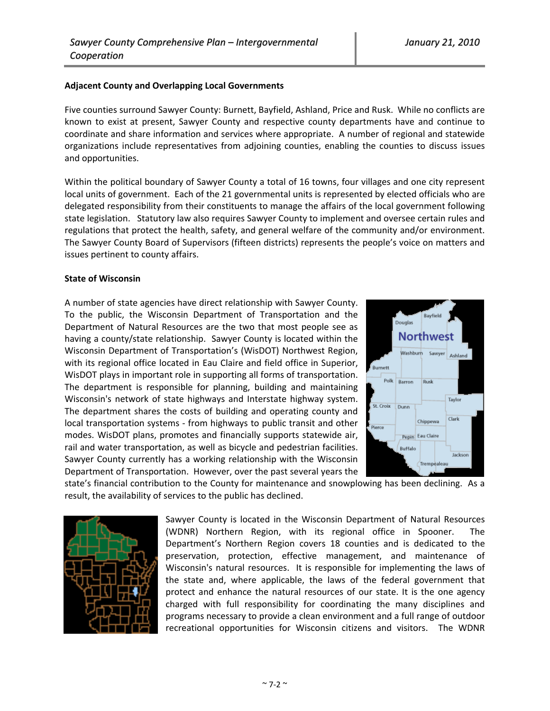#### **Adjacent County and Overlapping Local Governments**

Five counties surround Sawyer County: Burnett, Bayfield, Ashland, Price and Rusk. While no conflicts are known to exist at present, Sawyer County and respective county departments have and continue to coordinate and share information and services where appropriate. A number of regional and statewide organizations include representatives from adjoining counties, enabling the counties to discuss issues and opportunities.

Within the political boundary of Sawyer County a total of 16 towns, four villages and one city represent local units of government. Each of the 21 governmental units is represented by elected officials who are delegated responsibility from their constituents to manage the affairs of the local government following state legislation. Statutory law also requires Sawyer County to implement and oversee certain rules and regulations that protect the health, safety, and general welfare of the community and/or environment. The Sawyer County Board of Supervisors (fifteen districts) represents the people's voice on matters and issues pertinent to county affairs.

#### **State of Wisconsin**

A number of state agencies have direct relationship with Sawyer County. To the public, the Wisconsin Department of Transportation and the Department of Natural Resources are the two that most people see as having a county/state relationship. Sawyer County is located within the Wisconsin Department of Transportation's (WisDOT) Northwest Region, with its regional office located in Eau Claire and field office in Superior, WisDOT plays in important role in supporting all forms of transportation. The department is responsible for planning, building and maintaining Wisconsin's network of state highways and Interstate highway system. The department shares the costs of building and operating county and local transportation systems ‐ from highways to public transit and other modes. WisDOT plans, promotes and financially supports statewide air, rail and water transportation, as well as bicycle and pedestrian facilities. Sawyer County currently has a working relationship with the Wisconsin Department of Transportation. However, over the past several years the



state's financial contribution to the County for maintenance and snowplowing has been declining. As a result, the availability of services to the public has declined.



Sawyer County is located in the Wisconsin Department of Natural Resources (WDNR) Northern Region, with its regional office in Spooner. The Department's Northern Region covers 18 counties and is dedicated to the preservation, protection, effective management, and maintenance of Wisconsin's natural resources. It is responsible for implementing the laws of the state and, where applicable, the laws of the federal government that protect and enhance the natural resources of our state. It is the one agency charged with full responsibility for coordinating the many disciplines and programs necessary to provide a clean environment and a full range of outdoor recreational opportunities for Wisconsin citizens and visitors. The WDNR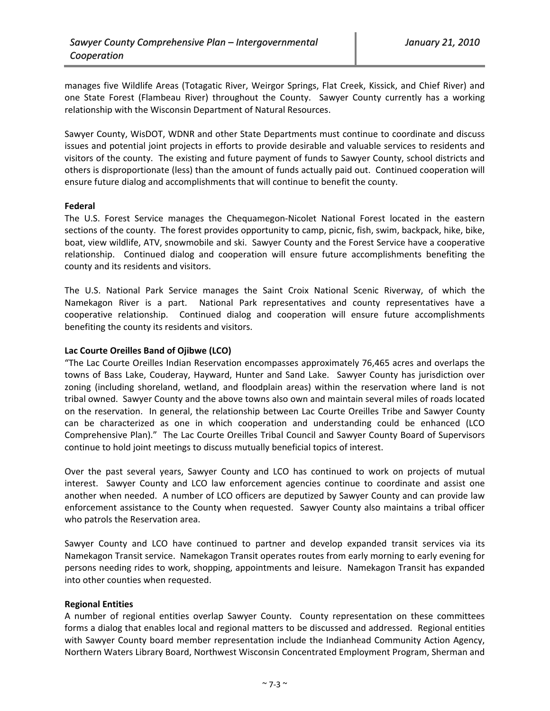manages five Wildlife Areas (Totagatic River, Weirgor Springs, Flat Creek, Kissick, and Chief River) and one State Forest (Flambeau River) throughout the County. Sawyer County currently has a working relationship with the Wisconsin Department of Natural Resources.

Sawyer County, WisDOT, WDNR and other State Departments must continue to coordinate and discuss issues and potential joint projects in efforts to provide desirable and valuable services to residents and visitors of the county. The existing and future payment of funds to Sawyer County, school districts and others is disproportionate (less) than the amount of funds actually paid out. Continued cooperation will ensure future dialog and accomplishments that will continue to benefit the county.

# **Federal**

The U.S. Forest Service manages the Chequamegon-Nicolet National Forest located in the eastern sections of the county. The forest provides opportunity to camp, picnic, fish, swim, backpack, hike, bike, boat, view wildlife, ATV, snowmobile and ski. Sawyer County and the Forest Service have a cooperative relationship. Continued dialog and cooperation will ensure future accomplishments benefiting the county and its residents and visitors.

The U.S. National Park Service manages the Saint Croix National Scenic Riverway, of which the Namekagon River is a part. National Park representatives and county representatives have a cooperative relationship. Continued dialog and cooperation will ensure future accomplishments benefiting the county its residents and visitors.

#### **Lac Courte Oreilles Band of Ojibwe (LCO)**

"The Lac Courte Oreilles Indian Reservation encompasses approximately 76,465 acres and overlaps the towns of Bass Lake, Couderay, Hayward, Hunter and Sand Lake. Sawyer County has jurisdiction over zoning (including shoreland, wetland, and floodplain areas) within the reservation where land is not tribal owned. Sawyer County and the above towns also own and maintain several miles of roads located on the reservation. In general, the relationship between Lac Courte Oreilles Tribe and Sawyer County can be characterized as one in which cooperation and understanding could be enhanced (LCO Comprehensive Plan)." The Lac Courte Oreilles Tribal Council and Sawyer County Board of Supervisors continue to hold joint meetings to discuss mutually beneficial topics of interest.

Over the past several years, Sawyer County and LCO has continued to work on projects of mutual interest. Sawyer County and LCO law enforcement agencies continue to coordinate and assist one another when needed. A number of LCO officers are deputized by Sawyer County and can provide law enforcement assistance to the County when requested. Sawyer County also maintains a tribal officer who patrols the Reservation area.

Sawyer County and LCO have continued to partner and develop expanded transit services via its Namekagon Transit service. Namekagon Transit operates routes from early morning to early evening for persons needing rides to work, shopping, appointments and leisure. Namekagon Transit has expanded into other counties when requested.

# **Regional Entities**

A number of regional entities overlap Sawyer County. County representation on these committees forms a dialog that enables local and regional matters to be discussed and addressed. Regional entities with Sawyer County board member representation include the Indianhead Community Action Agency, Northern Waters Library Board, Northwest Wisconsin Concentrated Employment Program, Sherman and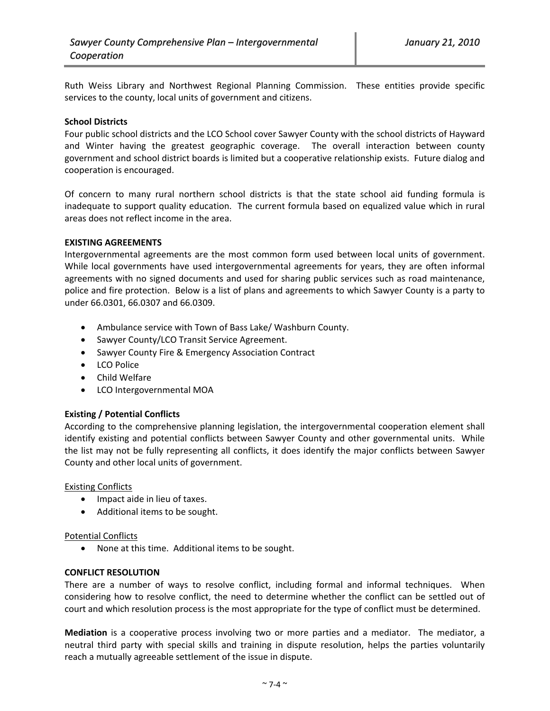Ruth Weiss Library and Northwest Regional Planning Commission. These entities provide specific services to the county, local units of government and citizens.

#### **School Districts**

Four public school districts and the LCO School cover Sawyer County with the school districts of Hayward and Winter having the greatest geographic coverage. The overall interaction between county government and school district boards is limited but a cooperative relationship exists. Future dialog and cooperation is encouraged.

Of concern to many rural northern school districts is that the state school aid funding formula is inadequate to support quality education. The current formula based on equalized value which in rural areas does not reflect income in the area.

#### **EXISTING AGREEMENTS**

Intergovernmental agreements are the most common form used between local units of government. While local governments have used intergovernmental agreements for years, they are often informal agreements with no signed documents and used for sharing public services such as road maintenance, police and fire protection. Below is a list of plans and agreements to which Sawyer County is a party to under 66.0301, 66.0307 and 66.0309.

- Ambulance service with Town of Bass Lake/ Washburn County.
- Sawyer County/LCO Transit Service Agreement.
- Sawyer County Fire & Emergency Association Contract
- LCO Police
- Child Welfare
- LCO Intergovernmental MOA

# **Existing / Potential Conflicts**

According to the comprehensive planning legislation, the intergovernmental cooperation element shall identify existing and potential conflicts between Sawyer County and other governmental units. While the list may not be fully representing all conflicts, it does identify the major conflicts between Sawyer County and other local units of government.

Existing Conflicts

- Impact aide in lieu of taxes.
- Additional items to be sought.

Potential Conflicts

• None at this time. Additional items to be sought.

# **CONFLICT RESOLUTION**

There are a number of ways to resolve conflict, including formal and informal techniques. When considering how to resolve conflict, the need to determine whether the conflict can be settled out of court and which resolution process is the most appropriate for the type of conflict must be determined.

**Mediation** is a cooperative process involving two or more parties and a mediator. The mediator, a neutral third party with special skills and training in dispute resolution, helps the parties voluntarily reach a mutually agreeable settlement of the issue in dispute.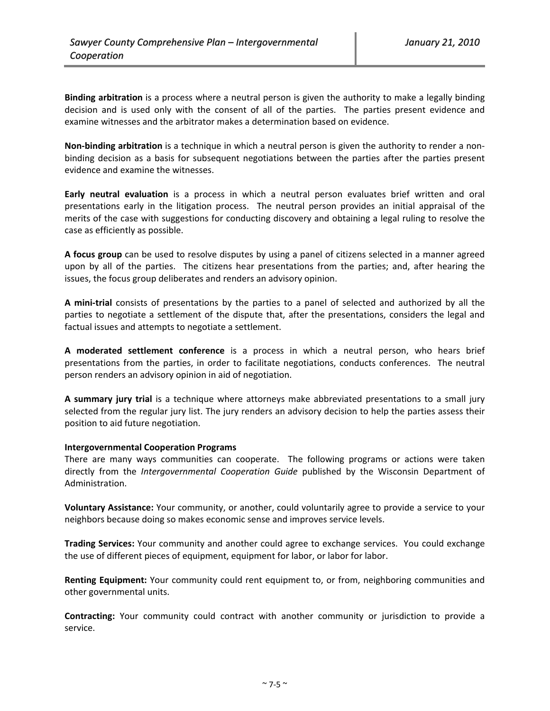**Binding arbitration** is a process where a neutral person is given the authority to make a legally binding decision and is used only with the consent of all of the parties. The parties present evidence and examine witnesses and the arbitrator makes a determination based on evidence.

**Non‐binding arbitration** is a technique in which a neutral person is given the authority to render a non‐ binding decision as a basis for subsequent negotiations between the parties after the parties present evidence and examine the witnesses.

**Early neutral evaluation** is a process in which a neutral person evaluates brief written and oral presentations early in the litigation process. The neutral person provides an initial appraisal of the merits of the case with suggestions for conducting discovery and obtaining a legal ruling to resolve the case as efficiently as possible.

**A focus group** can be used to resolve disputes by using a panel of citizens selected in a manner agreed upon by all of the parties. The citizens hear presentations from the parties; and, after hearing the issues, the focus group deliberates and renders an advisory opinion.

**A mini‐trial** consists of presentations by the parties to a panel of selected and authorized by all the parties to negotiate a settlement of the dispute that, after the presentations, considers the legal and factual issues and attempts to negotiate a settlement.

**A moderated settlement conference** is a process in which a neutral person, who hears brief presentations from the parties, in order to facilitate negotiations, conducts conferences. The neutral person renders an advisory opinion in aid of negotiation.

**A summary jury trial** is a technique where attorneys make abbreviated presentations to a small jury selected from the regular jury list. The jury renders an advisory decision to help the parties assess their position to aid future negotiation.

# **Intergovernmental Cooperation Programs**

There are many ways communities can cooperate. The following programs or actions were taken directly from the *Intergovernmental Cooperation Guide* published by the Wisconsin Department of Administration.

**Voluntary Assistance:** Your community, or another, could voluntarily agree to provide a service to your neighbors because doing so makes economic sense and improves service levels.

**Trading Services:** Your community and another could agree to exchange services. You could exchange the use of different pieces of equipment, equipment for labor, or labor for labor.

**Renting Equipment:** Your community could rent equipment to, or from, neighboring communities and other governmental units.

**Contracting:** Your community could contract with another community or jurisdiction to provide a service.